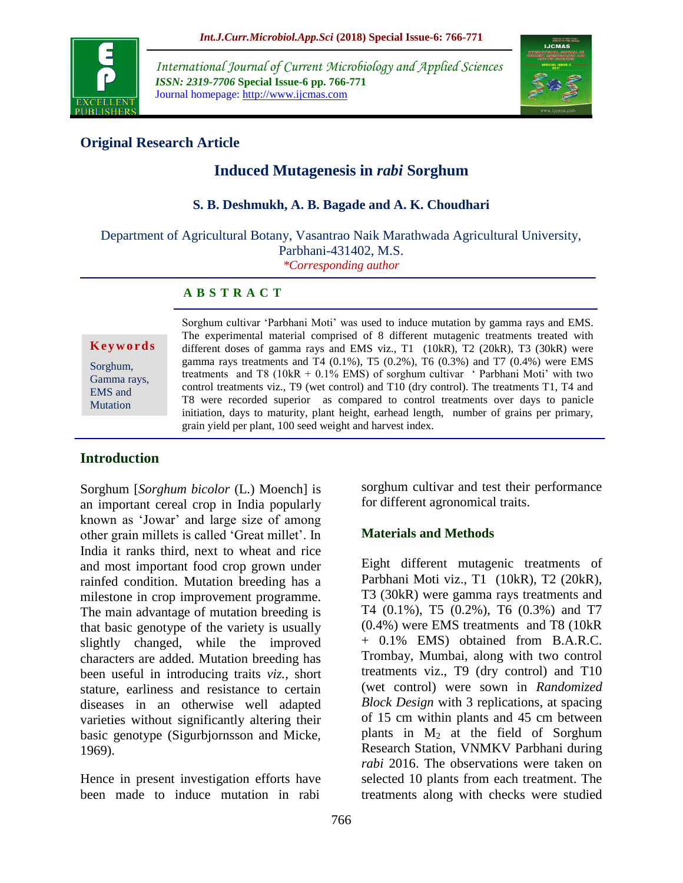

*International Journal of Current Microbiology and Applied Sciences ISSN: 2319-7706* **Special Issue-6 pp. 766-771** Journal homepage: http://www.ijcmas.com



# **Original Research Article**

# **Induced Mutagenesis in** *rabi* **Sorghum**

#### **S. B. Deshmukh, A. B. Bagade and A. K. Choudhari**

Department of Agricultural Botany, Vasantrao Naik Marathwada Agricultural University, Parbhani-431402, M.S.

*\*Corresponding author*

#### **A B S T R A C T**

**K e y w o r d s**

Sorghum, Gamma rays, EMS and Mutation

Sorghum cultivar 'Parbhani Moti' was used to induce mutation by gamma rays and EMS. The experimental material comprised of 8 different mutagenic treatments treated with different doses of gamma rays and EMS viz., T1 (10kR), T2 (20kR), T3 (30kR) were gamma rays treatments and T4  $(0.1\%)$ , T5  $(0.2\%)$ , T6  $(0.3\%)$  and T7  $(0.4\%)$  were EMS treatments and T8 (10kR + 0.1% EMS) of sorghum cultivar ' Parbhani Moti' with two control treatments viz., T9 (wet control) and T10 (dry control). The treatments T1, T4 and T8 were recorded superior as compared to control treatments over days to panicle initiation, days to maturity, plant height, earhead length, number of grains per primary, grain yield per plant, 100 seed weight and harvest index.

## **Introduction**

Sorghum [*Sorghum bicolor* (L.) Moench] is an important cereal crop in India popularly known as 'Jowar' and large size of among other grain millets is called 'Great millet'. In India it ranks third, next to wheat and rice and most important food crop grown under rainfed condition. Mutation breeding has a milestone in crop improvement programme. The main advantage of mutation breeding is that basic genotype of the variety is usually slightly changed, while the improved characters are added. Mutation breeding has been useful in introducing traits *viz.,* short stature, earliness and resistance to certain diseases in an otherwise well adapted varieties without significantly altering their basic genotype (Sigurbjornsson and Micke, 1969).

Hence in present investigation efforts have been made to induce mutation in rabi

sorghum cultivar and test their performance for different agronomical traits.

## **Materials and Methods**

Eight different mutagenic treatments of Parbhani Moti viz., T1 (10kR), T2 (20kR), T3 (30kR) were gamma rays treatments and T4 (0.1%), T5 (0.2%), T6 (0.3%) and T7 (0.4%) were EMS treatments and T8 (10kR + 0.1% EMS) obtained from B.A.R.C. Trombay, Mumbai, along with two control treatments viz., T9 (dry control) and T10 (wet control) were sown in *Randomized Block Design* with 3 replications, at spacing of 15 cm within plants and 45 cm between plants in  $M_2$  at the field of Sorghum Research Station, VNMKV Parbhani during *rabi* 2016. The observations were taken on selected 10 plants from each treatment. The treatments along with checks were studied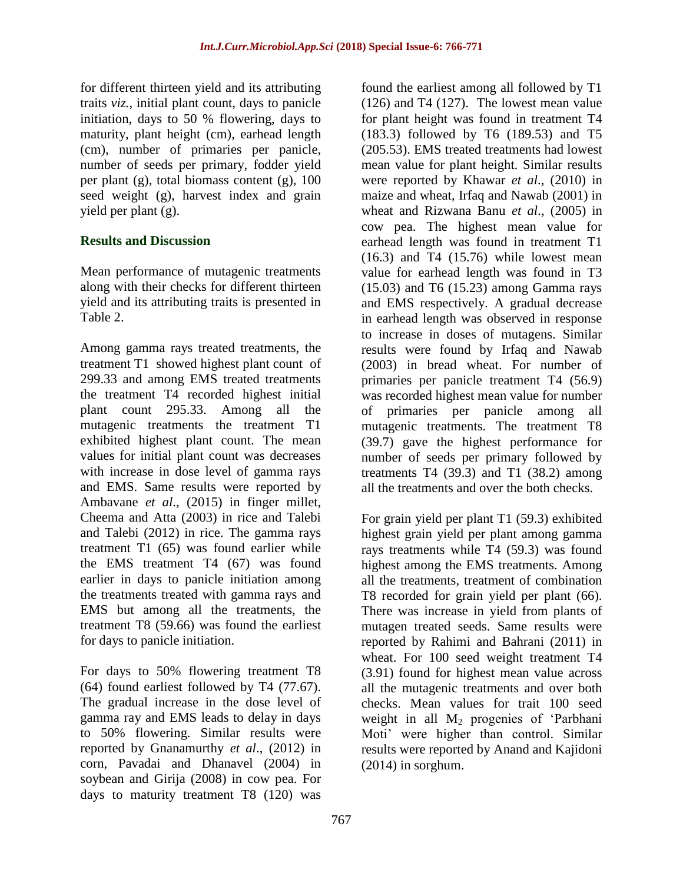for different thirteen yield and its attributing traits *viz.,* initial plant count, days to panicle initiation, days to 50 % flowering, days to maturity, plant height (cm), earhead length (cm), number of primaries per panicle, number of seeds per primary, fodder yield per plant (g), total biomass content (g), 100 seed weight (g), harvest index and grain yield per plant (g).

#### **Results and Discussion**

Mean performance of mutagenic treatments along with their checks for different thirteen yield and its attributing traits is presented in Table 2.

Among gamma rays treated treatments, the treatment T1 showed highest plant count of 299.33 and among EMS treated treatments the treatment T4 recorded highest initial plant count 295.33. Among all the mutagenic treatments the treatment T1 exhibited highest plant count. The mean values for initial plant count was decreases with increase in dose level of gamma rays and EMS. Same results were reported by Ambavane *et al*., (2015) in finger millet, Cheema and Atta (2003) in rice and Talebi and Talebi (2012) in rice. The gamma rays treatment T1 (65) was found earlier while the EMS treatment T4 (67) was found earlier in days to panicle initiation among the treatments treated with gamma rays and EMS but among all the treatments, the treatment T8 (59.66) was found the earliest for days to panicle initiation.

For days to 50% flowering treatment T8 (64) found earliest followed by T4 (77.67). The gradual increase in the dose level of gamma ray and EMS leads to delay in days to 50% flowering. Similar results were reported by Gnanamurthy *et al*., (2012) in corn, Pavadai and Dhanavel (2004) in soybean and Girija (2008) in cow pea. For days to maturity treatment T8 (120) was

found the earliest among all followed by T1 (126) and T4 (127). The lowest mean value for plant height was found in treatment T4 (183.3) followed by T6 (189.53) and T5 (205.53). EMS treated treatments had lowest mean value for plant height. Similar results were reported by Khawar *et al*., (2010) in maize and wheat, Irfaq and Nawab (2001) in wheat and Rizwana Banu *et al*., (2005) in cow pea. The highest mean value for earhead length was found in treatment T1  $(16.3)$  and T4  $(15.76)$  while lowest mean value for earhead length was found in T3 (15.03) and T6 (15.23) among Gamma rays and EMS respectively. A gradual decrease in earhead length was observed in response to increase in doses of mutagens. Similar results were found by Irfaq and Nawab (2003) in bread wheat. For number of primaries per panicle treatment T4 (56.9) was recorded highest mean value for number of primaries per panicle among all mutagenic treatments. The treatment T8 (39.7) gave the highest performance for number of seeds per primary followed by treatments T4  $(39.3)$  and T1  $(38.2)$  among all the treatments and over the both checks.

For grain yield per plant T1 (59.3) exhibited highest grain yield per plant among gamma rays treatments while T4 (59.3) was found highest among the EMS treatments. Among all the treatments, treatment of combination T8 recorded for grain yield per plant (66). There was increase in yield from plants of mutagen treated seeds. Same results were reported by Rahimi and Bahrani (2011) in wheat. For 100 seed weight treatment T4 (3.91) found for highest mean value across all the mutagenic treatments and over both checks. Mean values for trait 100 seed weight in all  $M_2$  progenies of 'Parbhani Moti' were higher than control. Similar results were reported by Anand and Kajidoni (2014) in sorghum.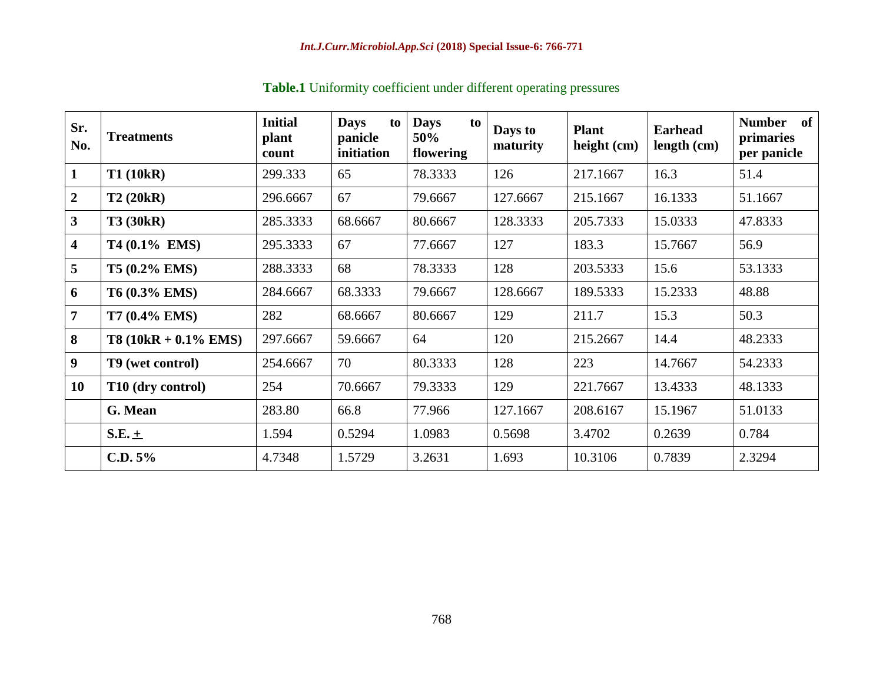| Sr.<br>No.              | <b>Treatments</b>      | <b>Initial</b><br>plant<br>count | <b>Days</b><br>to<br>panicle<br>initiation | <b>Days</b><br>to<br>50%<br>flowering | Days to<br>maturity | <b>Plant</b><br>height (cm) | <b>Earhead</b><br>length (cm) | <b>Number</b><br>of<br>primaries<br>per panicle |
|-------------------------|------------------------|----------------------------------|--------------------------------------------|---------------------------------------|---------------------|-----------------------------|-------------------------------|-------------------------------------------------|
| $\mathbf{1}$            | <b>T1 (10kR)</b>       | 299.333                          | 65                                         | 78.3333                               | 126                 | 217.1667                    | 16.3                          | 51.4                                            |
| $\overline{2}$          | T2(20kR)               | 296.6667                         | 67                                         | 79.6667                               | 127.6667            | 215.1667                    | 16.1333                       | 51.1667                                         |
| 3 <sup>1</sup>          | <b>T3 (30kR)</b>       | 285.3333                         | 68.6667                                    | 80.6667                               | 128.3333            | 205.7333                    | 15.0333                       | 47.8333                                         |
| $\overline{\mathbf{4}}$ | T4 (0.1% EMS)          | 295.3333                         | 67                                         | 77.6667                               | 127                 | 183.3                       | 15.7667                       | 56.9                                            |
| 5 <sup>5</sup>          | T5 (0.2% EMS)          | 288.3333                         | 68                                         | 78.3333                               | 128                 | 203.5333                    | 15.6                          | 53.1333                                         |
| 6                       | T6 (0.3% EMS)          | 284.6667                         | 68.3333                                    | 79.6667                               | 128.6667            | 189.5333                    | 15.2333                       | 48.88                                           |
| 7                       | T7 (0.4% EMS)          | 282                              | 68.6667                                    | 80.6667                               | 129                 | 211.7                       | 15.3                          | 50.3                                            |
| 8                       | $T8(10kR + 0.1\%$ EMS) | 297.6667                         | 59.6667                                    | 64                                    | 120                 | 215.2667                    | 14.4                          | 48.2333                                         |
| 9 <sup>°</sup>          | T9 (wet control)       | 254.6667                         | 70                                         | 80.3333                               | 128                 | 223                         | 14.7667                       | 54.2333                                         |
| <b>10</b>               | T10 (dry control)      | 254                              | 70.6667                                    | 79.3333                               | 129                 | 221.7667                    | 13.4333                       | 48.1333                                         |
|                         | G. Mean                | 283.80                           | 66.8                                       | 77.966                                | 127.1667            | 208.6167                    | 15.1967                       | 51.0133                                         |
|                         | $S.E. \pm$             | 1.594                            | 0.5294                                     | 1.0983                                | 0.5698              | 3.4702                      | 0.2639                        | 0.784                                           |
|                         | C.D. 5%                | 4.7348                           | 1.5729                                     | 3.2631                                | 1.693               | 10.3106                     | 0.7839                        | 2.3294                                          |

**Table.1** Uniformity coefficient under different operating pressures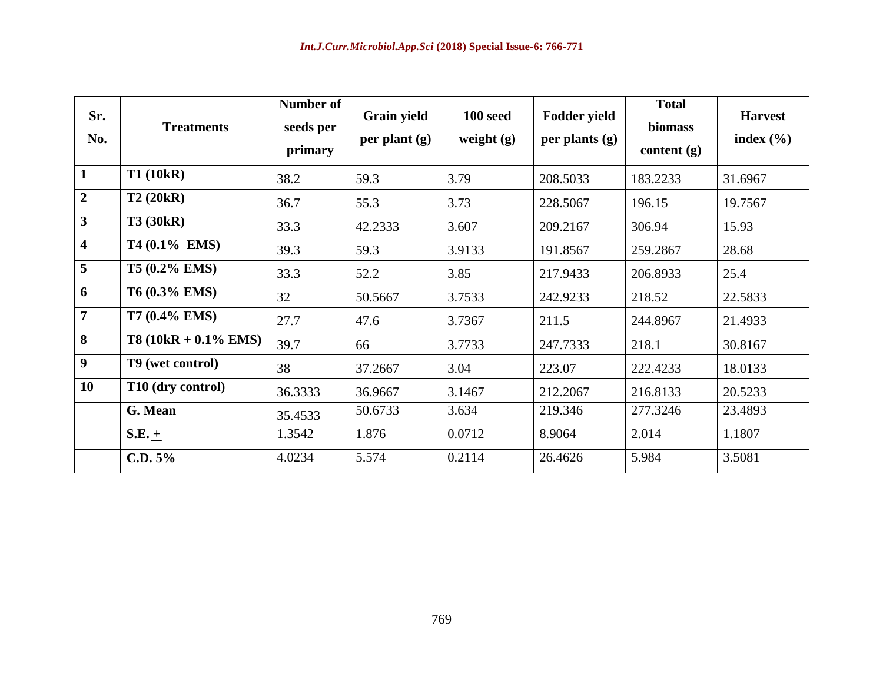| Sr.<br>No.              | <b>Treatments</b>       | <b>Number of</b><br>seeds per<br>primary | <b>Grain yield</b><br>per plant $(g)$ | 100 seed<br>weight $(g)$ | <b>Fodder yield</b><br>per plants $(g)$ | <b>Total</b><br>biomass<br>content $(g)$ | <b>Harvest</b><br>index $(\% )$ |
|-------------------------|-------------------------|------------------------------------------|---------------------------------------|--------------------------|-----------------------------------------|------------------------------------------|---------------------------------|
| $\mathbf{1}$            | <b>T1 (10kR)</b>        | 38.2                                     | 59.3                                  | 3.79                     | 208.5033                                | 183.2233                                 | 31.6967                         |
| $\overline{2}$          | <b>T2 (20kR)</b>        | 36.7                                     | 55.3                                  | 3.73                     | 228.5067                                | 196.15                                   | 19.7567                         |
| $\overline{\mathbf{3}}$ | <b>T3 (30kR)</b>        | 33.3                                     | 42.2333                               | 3.607                    | 209.2167                                | 306.94                                   | 15.93                           |
| $\overline{\mathbf{4}}$ | T4 (0.1% EMS)           | 39.3                                     | 59.3                                  | 3.9133                   | 191.8567                                | 259.2867                                 | 28.68                           |
| 5                       | T5 (0.2% EMS)           | 33.3                                     | 52.2                                  | 3.85                     | 217.9433                                | 206.8933                                 | 25.4                            |
| 6                       | T6 (0.3% EMS)           | 32                                       | 50.5667                               | 3.7533                   | 242.9233                                | 218.52                                   | 22.5833                         |
| $\overline{7}$          | <b>T7 (0.4% EMS)</b>    | 27.7                                     | 47.6                                  | 3.7367                   | 211.5                                   | 244.8967                                 | 21.4933                         |
| 8                       | $T8 (10kR + 0.1\%$ EMS) | 39.7                                     | 66                                    | 3.7733                   | 247.7333                                | 218.1                                    | 30.8167                         |
| $\boldsymbol{9}$        | T9 (wet control)        | 38                                       | 37.2667                               | 3.04                     | 223.07                                  | 222.4233                                 | 18.0133                         |
| 10                      | T10 (dry control)       | 36.3333                                  | 36.9667                               | 3.1467                   | 212.2067                                | 216.8133                                 | 20.5233                         |
|                         | G. Mean                 | 35.4533                                  | 50.6733                               | 3.634                    | 219.346                                 | 277.3246                                 | 23.4893                         |
|                         | $S.E. +$                | 1.3542                                   | 1.876                                 | 0.0712                   | 8.9064                                  | 2.014                                    | 1.1807                          |
|                         | C.D. 5%                 | 4.0234                                   | 5.574                                 | 0.2114                   | 26.4626                                 | 5.984                                    | 3.5081                          |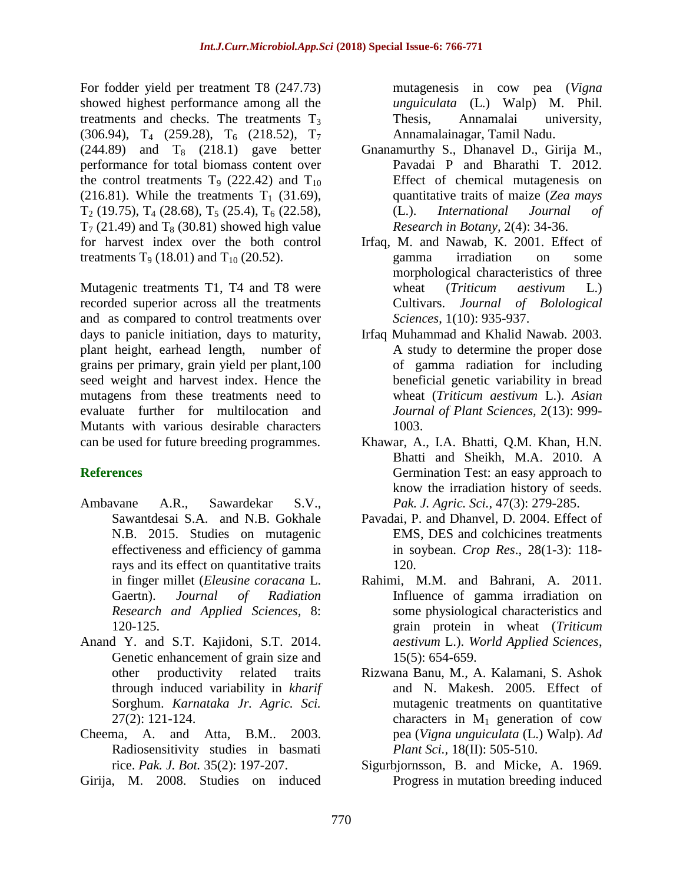For fodder yield per treatment T8 (247.73) showed highest performance among all the treatments and checks. The treatments  $T_3$  $(306.94)$ , T<sub>4</sub>  $(259.28)$ , T<sub>6</sub>  $(218.52)$ , T<sub>7</sub>  $(244.89)$  and T<sub>8</sub>  $(218.1)$  gave better performance for total biomass content over the control treatments  $T_9$  (222.42) and  $T_{10}$ (216.81). While the treatments  $T_1$  (31.69),  $T_2$  (19.75),  $T_4$  (28.68),  $T_5$  (25.4),  $T_6$  (22.58),  $T<sub>7</sub>$  (21.49) and  $T<sub>8</sub>$  (30.81) showed high value for harvest index over the both control treatments  $T_9$  (18.01) and  $T_{10}$  (20.52).

Mutagenic treatments T1, T4 and T8 were recorded superior across all the treatments and as compared to control treatments over days to panicle initiation, days to maturity, plant height, earhead length, number of grains per primary, grain yield per plant,100 seed weight and harvest index. Hence the mutagens from these treatments need to evaluate further for multilocation and Mutants with various desirable characters can be used for future breeding programmes.

## **References**

- Ambavane A.R., Sawardekar S.V., Sawantdesai S.A. and N.B. Gokhale N.B. 2015. Studies on mutagenic effectiveness and efficiency of gamma rays and its effect on quantitative traits in finger millet (*Eleusine coracana* L. Gaertn). *Journal of Radiation Research and Applied Sciences,* 8: 120-125.
- Anand Y. and S.T. Kajidoni, S.T. 2014. Genetic enhancement of grain size and other productivity related traits through induced variability in *kharif* Sorghum. *Karnataka Jr. Agric. Sci.*  27(2): 121-124.
- Cheema, A. and Atta, B.M.. 2003. Radiosensitivity studies in basmati rice. *Pak. J. Bot.* 35(2): 197-207.
- Girija, M. 2008. Studies on induced

mutagenesis in cow pea (*Vigna unguiculata* (L.) Walp) M. Phil. Thesis, Annamalai university, Annamalainagar, Tamil Nadu.

- Gnanamurthy S., Dhanavel D., Girija M., Pavadai P and Bharathi T. 2012. Effect of chemical mutagenesis on quantitative traits of maize (*Zea mays*  (L.). *International Journal of Research in Botany,* 2(4): 34-36.
- Irfaq, M. and Nawab, K. 2001. Effect of gamma irradiation on some morphological characteristics of three wheat (*Triticum aestivum* L.) Cultivars. *Journal of Bolological Sciences*, 1(10): 935-937.
- Irfaq Muhammad and Khalid Nawab. 2003. A study to determine the proper dose of gamma radiation for including beneficial genetic variability in bread wheat (*Triticum aestivum* L.). *Asian Journal of Plant Sciences,* 2(13): 999- 1003.
- Khawar, A., I.A. Bhatti, Q.M. Khan, H.N. Bhatti and Sheikh, M.A. 2010. A Germination Test: an easy approach to know the irradiation history of seeds. *Pak. J. Agric. Sci.*, 47(3): 279-285.
- Pavadai, P. and Dhanvel, D. 2004. Effect of EMS, DES and colchicines treatments in soybean. *Crop Res*., 28(1-3): 118- 120.
- Rahimi, M.M. and Bahrani, A. 2011. Influence of gamma irradiation on some physiological characteristics and grain protein in wheat (*Triticum aestivum* L.). *World Applied Sciences*, 15(5): 654-659.
- Rizwana Banu, M., A. Kalamani, S. Ashok and N. Makesh. 2005. Effect of mutagenic treatments on quantitative characters in  $M_1$  generation of cow pea (*Vigna unguiculata* (L.) Walp). *Ad Plant Sci.,* 18(II): 505-510.
- Sigurbjornsson, B. and Micke, A. 1969. Progress in mutation breeding induced